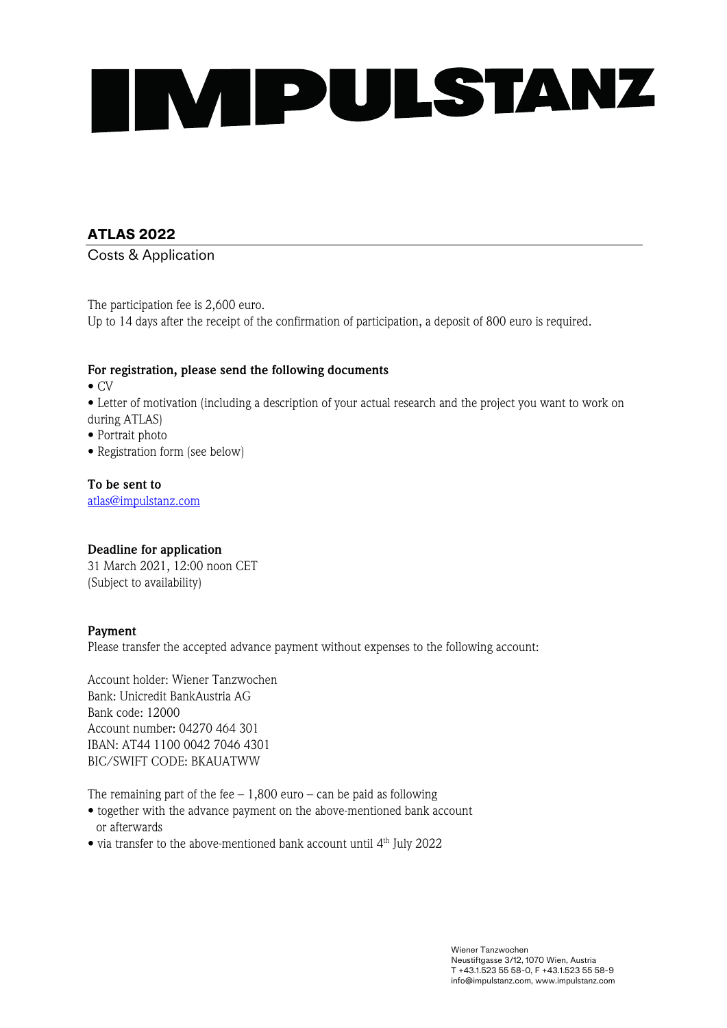

## **ATLAS 2022**

Costs & Application

The participation fee is 2,600 euro. Up to 14 days after the receipt of the confirmation of participation, a deposit of 800 euro is required.

#### **For registration, please send the following documents**

• CV

• Letter of motivation (including a description of your actual research and the project you want to work on during ATLAS)

- Portrait photo
- Registration form (see below)

**To be sent to** atlas@impulstanz.com

#### **Deadline for application**

31 March 2021, 12:00 noon CET (Subject to availability)

#### **Payment**

Please transfer the accepted advance payment without expenses to the following account:

Account holder: Wiener Tanzwochen Bank: Unicredit BankAustria AG Bank code: 12000 Account number: 04270 464 301 IBAN: AT44 1100 0042 7046 4301 BIC/SWIFT CODE: BKAUATWW

The remaining part of the fee  $-1,800$  euro – can be paid as following

- together with the advance payment on the above-mentioned bank account or afterwards
- via transfer to the above-mentioned bank account until 4th July 2022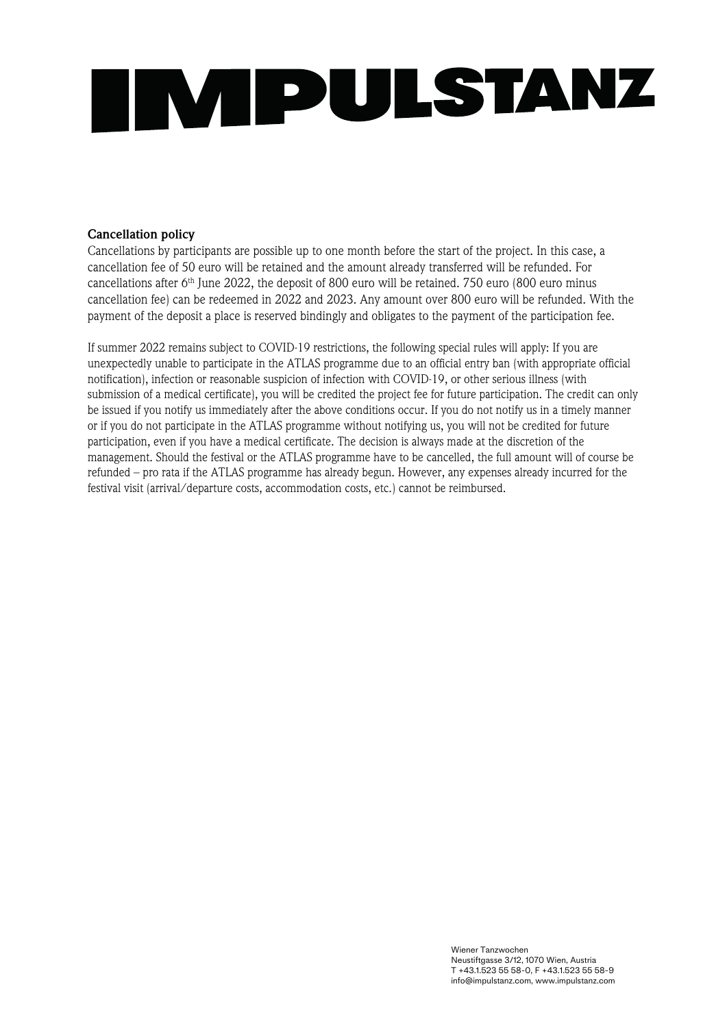

#### **Cancellation policy**

Cancellations by participants are possible up to one month before the start of the project. In this case, a cancellation fee of 50 euro will be retained and the amount already transferred will be refunded. For cancellations after  $6<sup>th</sup>$  June 2022, the deposit of 800 euro will be retained. 750 euro (800 euro minus cancellation fee) can be redeemed in 2022 and 2023. Any amount over 800 euro will be refunded. With the payment of the deposit a place is reserved bindingly and obligates to the payment of the participation fee.

If summer 2022 remains subject to COVID-19 restrictions, the following special rules will apply: If you are unexpectedly unable to participate in the ATLAS programme due to an official entry ban (with appropriate official notification), infection or reasonable suspicion of infection with COVID-19, or other serious illness (with submission of a medical certificate), you will be credited the project fee for future participation. The credit can only be issued if you notify us immediately after the above conditions occur. If you do not notify us in a timely manner or if you do not participate in the ATLAS programme without notifying us, you will not be credited for future participation, even if you have a medical certificate. The decision is always made at the discretion of the management. Should the festival or the ATLAS programme have to be cancelled, the full amount will of course be refunded – pro rata if the ATLAS programme has already begun. However, any expenses already incurred for the festival visit (arrival/departure costs, accommodation costs, etc.) cannot be reimbursed.